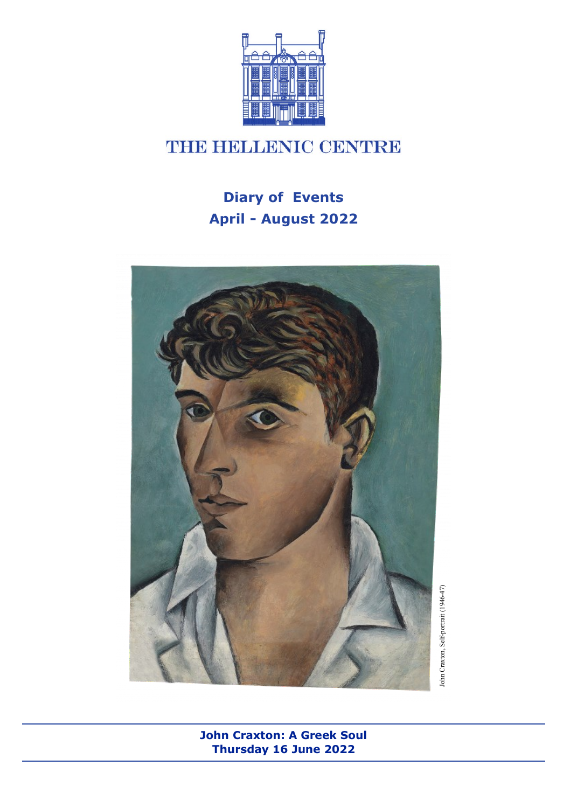

# **THE HELLENIC CENTRE**

# **Diary of Events April - August 2022**



**John Craxton: A Greek Soul Thursday 16 June 2022**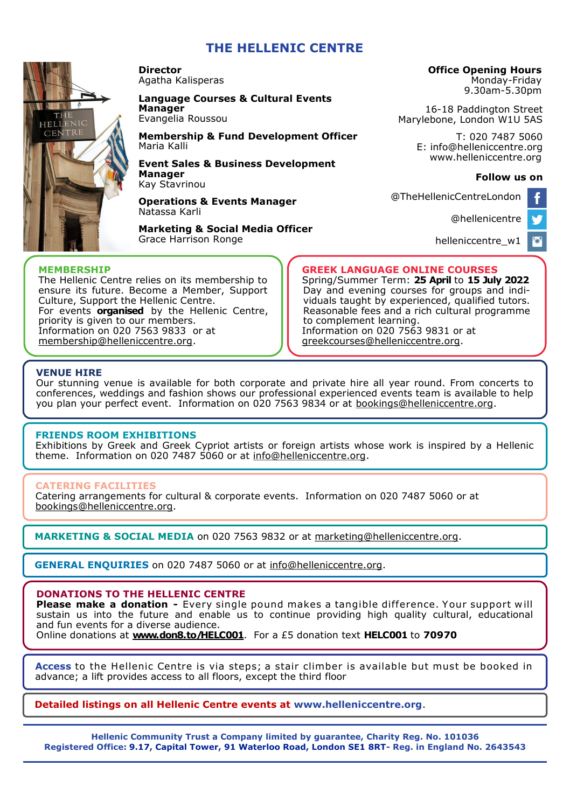### **THE HELLENIC CENTRE**



**Director**  Agatha Kalisperas

#### **Language Courses & Cultural Events Manager**

Evangelia Roussou

**Membership & Fund Development Officer**  Maria Kalli

**Event Sales & Business Development Manager** Kay Stavrinou

**Operations & Events Manager**  Natassa Karli

**Marketing & Social Media Officer** Grace Harrison Ronge

#### **Office Opening Hours**

Monday-Friday 9.30am-5.30pm

16-18 Paddington Street Marylebone, London W1U 5AS

> T: 020 7487 5060 E: info@helleniccentre.org www.helleniccentre.org

#### **Follow us on**

ь

@TheHellenicCentreLondon

[@hellenicentre](https://twitter.com/hellenicentre)

[helleniccentre\\_w1](https://www.instagram.com/helleniccentre_w1/)

#### **MEMBERSHIP**

The Hellenic Centre relies on its membership to ensure its future. Become a Member, Support Culture, Support the Hellenic Centre. For events **organised** by the Hellenic Centre, priority is given to our members. Information on 020 7563 9833 or at [membership@helleniccentre.org.](mailto:maria@helleniccentre.org)

#### **GREEK LANGUAGE ONLINE COURSES**

Spring/Summer Term: **25 April** to **15 July 2022** Day and evening courses for groups and individuals taught by experienced, qualified tutors. Reasonable fees and a rich cultural programme to complement learning. Information on 020 7563 9831 or at [greekcourses@helleniccentre.org.](mailto:greekcourses@helleniccentre.org)

#### **VENUE HIRE**

Our stunning venue is available for both corporate and private hire all year round. From concerts to conferences, weddings and fashion shows our professional experienced events team is available to help you plan your perfect event. Information on 020 7563 9834 or at [bookings@helleniccentre.org.](mailto:bookings@helleniccentre.org)

#### **FRIENDS ROOM EXHIBITIONS**

Εxhibitions by Greek and Greek Cypriot artists or foreign artists whose work is inspired by a Hellenic theme. Information on 020 7487 5060 or at [info@helleniccentre.org.](mailto:christina@helleniccentre.org)

#### **CATERING FACILITIES**

Catering arrangements for cultural & corporate events. Information on 020 7487 5060 or at [bookings@helleniccentre.org.](mailto:christina@helleniccentre.org)

**MARKETING & SOCIAL MEDIA** on 020 7563 9832 or at marketing@helleniccentre.org.

**GENERAL ENQUIRIES** on 020 7487 5060 or at info@helleniccentre.org.

#### **DONATIONS TO THE HELLENIC CENTRE**

**Please make a donation -** Every single pound makes a tangible difference. Your support will sustain us into the future and enable us to continue providing high quality cultural, educational and fun events for a diverse audience.

Online donations at **[www.don8.to/HELC001](http://www.don8.to/HELC001)**. For a £5 donation text **HELC001** to **70970** 

**Access** to the Hellenic Centre is via steps; a stair climber is available but must be booked in advance; a lift provides access to all floors, except the third floor

#### **Detailed listings on all Hellenic Centre events at www.helleniccentre.org**.

**Hellenic Community Trust a Company limited by guarantee, Charity Reg. No. 101036 Registered Office: 9.17, Capital Tower, 91 Waterloo Road, London SE1 8RT- Reg. in England No. 2643543**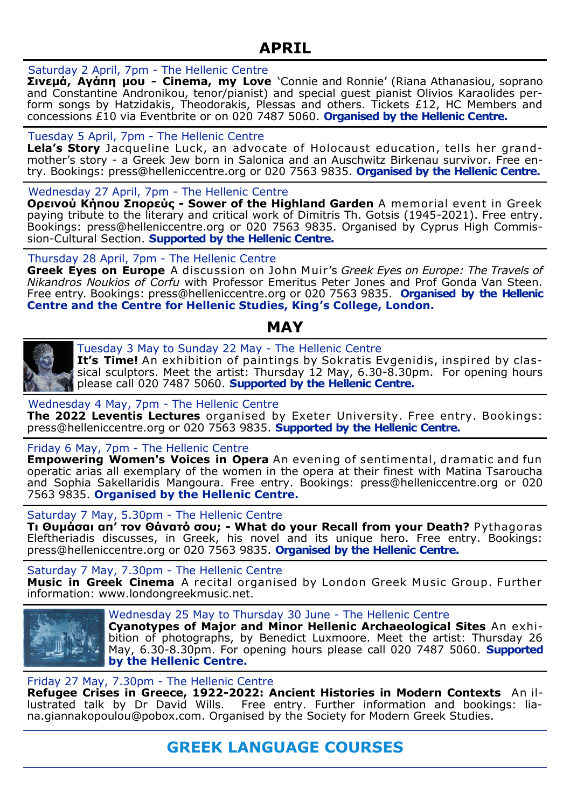## **APRIL**

#### Saturday 2 April, 7pm - The Hellenic Centre

**Σινεμά, Αγάπη μου - Cinema, my Love** 'Connie and Ronnie' (Riana Athanasiou, soprano and Constantine Andronikou, tenor/pianist) and special guest pianist Olivios Karaolides perform songs by Hatzidakis, Theodorakis, Plessas and others. Tickets £12, HC Members and concessions £10 via Eventbrite or on 020 7487 5060. **Organised by the Hellenic Centre.** 

#### Tuesday 5 April, 7pm - The Hellenic Centre

**Lela's Story** Jacqueline Luck, an advocate of Holocaust education, tells her grandmother's story - a Greek Jew born in Salonica and an Auschwitz Birkenau survivor. Free entry. Bookings: press@helleniccentre.org or 020 7563 9835. **Organised by the Hellenic Centre.**

Wednesday 27 April, 7pm - The Hellenic Centre

**Ορεινού Κήπου Σπορεύς - Sower of the Highland Garden** A memorial event in Greek paying tribute to the literary and critical work of Dimitris Th. Gotsis (1945-2021). Free entry. Bookings: press@helleniccentre.org or 020 7563 9835. Organised by Cyprus High Commission-Cultural Section. **Supported by the Hellenic Centre.**

Thursday 28 April, 7pm - The Hellenic Centre

**Greek Eyes on Europe** A discussion on John Muir's *Greek Eyes on Europe: The Travels of Nikandros Noukios of Corfu* with Professor Emeritus Peter Jones and Prof Gonda Van Steen. Free entry. Bookings: press@helleniccentre.org or 020 7563 9835. **Organised by the Hellenic Centre and the Centre for Hellenic Studies, King's College, London.** 

## **MAY**



Tuesday 3 May to Sunday 22 May - The Hellenic Centre **It's Time!** An exhibition of paintings by Sokratis Evgenidis, inspired by classical sculptors. Meet the artist: Thursday 12 May, 6.30-8.30pm. For opening hours please call 020 7487 5060. **Supported by the Hellenic Centre.**

#### Wednesday 4 May, 7pm - The Hellenic Centre

**The 2022 Leventis Lectures** organised by Exeter University. Free entry. Bookings: press@helleniccentre.org or 020 7563 9835. **Supported by the Hellenic Centre.**

#### Friday 6 May, 7pm - The Hellenic Centre

**Empowering Women's Voices in Opera** An evening of sentimental, dramatic and fun operatic arias all exemplary of the women in the opera at their finest with Matina Tsaroucha and Sophia Sakellaridis Mangoura. Free entry. Bookings: press@helleniccentre.org or 020 7563 9835. **Organised by the Hellenic Centre.** 

#### Saturday 7 May, 5.30pm - The Hellenic Centre

**Τι Θυμάσαι απ' τον Θάνατό σου; - What do your Recall from your Death?** Pythagoras Eleftheriadis discusses, in Greek, his novel and its unique hero. Free entry. Bookings: press@helleniccentre.org or 020 7563 9835. **Organised by the Hellenic Centre.** 

Saturday 7 May, 7.30pm - The Hellenic Centre **Music in Greek Cinema** A recital organised by London Greek Music Group. Further information: www.londongreekmusic.net.



Wednesday 25 May to Thursday 30 June - The Hellenic Centre **Cyanotypes of Major and Minor Hellenic Archaeological Sites** An exhibition of photographs, by Benedict Luxmoore. Meet the artist: Thursday 26 May, 6.30-8.30pm. For opening hours please call 020 7487 5060. **Supported by the Hellenic Centre.**

#### Friday 27 May, 7.30pm - The Hellenic Centre

**Refugee Crises in Greece, 1922-2022: Ancient Histories in Modern Contexts** An illustrated talk by Dr David Wills. Free entry. Further information and bookings: liana.giannakopoulou@pobox.com. Organised by the Society for Modern Greek Studies.

## **GREEK LANGUAGE COURSES**